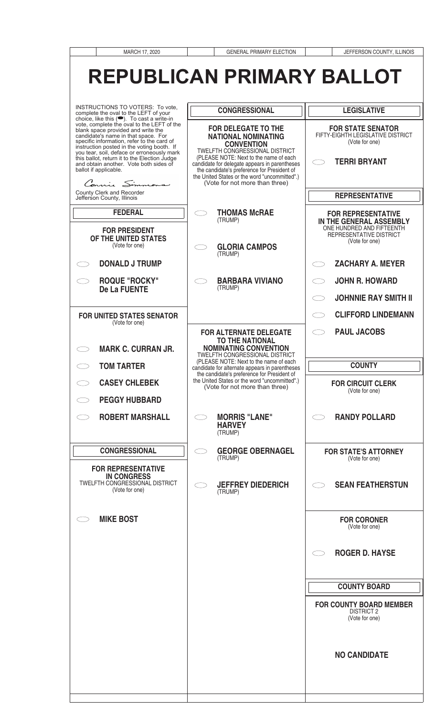| MARCH 17, 2020                                                                                                                                                                                                                                                                                                                                                                                                                    | <b>GENERAL PRIMARY ELECTION</b>                                                                                                                                                                                                                                                                                   | JEFFERSON COUNTY, ILLINOIS                                                                             |
|-----------------------------------------------------------------------------------------------------------------------------------------------------------------------------------------------------------------------------------------------------------------------------------------------------------------------------------------------------------------------------------------------------------------------------------|-------------------------------------------------------------------------------------------------------------------------------------------------------------------------------------------------------------------------------------------------------------------------------------------------------------------|--------------------------------------------------------------------------------------------------------|
|                                                                                                                                                                                                                                                                                                                                                                                                                                   | <b>REPUBLICAN PRIMARY BALLOT</b>                                                                                                                                                                                                                                                                                  |                                                                                                        |
| INSTRUCTIONS TO VOTERS: To vote,<br>complete the oval to the LEFT of your                                                                                                                                                                                                                                                                                                                                                         | <b>CONGRESSIONAL</b>                                                                                                                                                                                                                                                                                              | <b>LEGISLATIVE</b>                                                                                     |
| choice, like this (C). To cast a write-in<br>vote, complete the oval to the LEFT of the<br>blank space provided and write the<br>candidate's name in that space. For<br>specific information, refer to the card of<br>instruction posted in the voting booth. If<br>you tear, soil, deface or erroneously mark<br>this ballot, return it to the Election Judge<br>and obtain another. Vote both sides of<br>ballot if applicable. | <b>FOR DELEGATE TO THE</b><br><b>NATIONAL NOMINATING</b><br><b>CONVENTION</b><br><b>TWELFTH CONGRESSIONAL DISTRICT</b><br>(PLEASE NOTE: Next to the name of each<br>candidate for delegate appears in parentheses<br>the candidate's preference for President of<br>the United States or the word "uncommitted".) | <b>FOR STATE SENATOR</b><br>FIFTY-EIGHTH LEGISLATIVE DISTRICT<br>(Vote for one)<br><b>TERRI BRYANT</b> |
| Connie Simmons<br><b>County Clerk and Recorder</b><br>Jefferson County, Illinois                                                                                                                                                                                                                                                                                                                                                  | (Vote for not more than three)                                                                                                                                                                                                                                                                                    | <b>REPRESENTATIVE</b>                                                                                  |
| <b>FEDERAL</b>                                                                                                                                                                                                                                                                                                                                                                                                                    | <b>THOMAS McRAE</b>                                                                                                                                                                                                                                                                                               | <b>FOR REPRESENTATIVE</b>                                                                              |
| <b>FOR PRESIDENT</b><br>OF THE UNITED STATES<br>(Vote for one)                                                                                                                                                                                                                                                                                                                                                                    | (TRUMP)<br><b>GLORIA CAMPOS</b><br>(TRUMP)                                                                                                                                                                                                                                                                        | IN THE GENERAL ASSEMBLY<br>ONE HUNDRED AND FIFTEENTH<br>REPRESENTATIVE DISTRICT<br>(Vote for one)      |
| <b>DONALD J TRUMP</b>                                                                                                                                                                                                                                                                                                                                                                                                             |                                                                                                                                                                                                                                                                                                                   | <b>ZACHARY A. MEYER</b>                                                                                |
| <b>ROQUE "ROCKY"</b><br><b>De La FUENTE</b>                                                                                                                                                                                                                                                                                                                                                                                       | <b>BARBARA VIVIANO</b><br>(TRUMP)                                                                                                                                                                                                                                                                                 | <b>JOHN R. HOWARD</b>                                                                                  |
|                                                                                                                                                                                                                                                                                                                                                                                                                                   |                                                                                                                                                                                                                                                                                                                   | <b>JOHNNIE RAY SMITH II</b>                                                                            |
| <b>FOR UNITED STATES SENATOR</b><br>(Vote for one)                                                                                                                                                                                                                                                                                                                                                                                |                                                                                                                                                                                                                                                                                                                   | <b>CLIFFORD LINDEMANN</b>                                                                              |
| <b>MARK C. CURRAN JR.</b>                                                                                                                                                                                                                                                                                                                                                                                                         | <b>FOR ALTERNATE DELEGATE</b><br><b>TO THE NATIONAL</b><br><b>NOMINATING CONVENTION</b>                                                                                                                                                                                                                           | <b>PAUL JACOBS</b>                                                                                     |
| <b>TOM TARTER</b>                                                                                                                                                                                                                                                                                                                                                                                                                 | TWELFTH CONGRESSIONAL DISTRICT<br>(PLEASE NOTE: Next to the name of each                                                                                                                                                                                                                                          | <b>COUNTY</b>                                                                                          |
| <b>CASEY CHLEBEK</b>                                                                                                                                                                                                                                                                                                                                                                                                              | candidate for alternate appears in parentheses<br>the candidate's preference for President of<br>the United States or the word "uncommitted".)                                                                                                                                                                    | <b>FOR CIRCUIT CLERK</b>                                                                               |
| <b>PEGGY HUBBARD</b>                                                                                                                                                                                                                                                                                                                                                                                                              | (Vote for not more than three)                                                                                                                                                                                                                                                                                    | (Vote for one)                                                                                         |
| <b>ROBERT MARSHALL</b>                                                                                                                                                                                                                                                                                                                                                                                                            | <b>MORRIS "LANE"</b><br><b>HARVEY</b><br>(TRUMP)                                                                                                                                                                                                                                                                  | <b>RANDY POLLARD</b>                                                                                   |
| <b>CONGRESSIONAL</b>                                                                                                                                                                                                                                                                                                                                                                                                              | <b>GEORGE OBERNAGEL</b><br>(TRUMP)                                                                                                                                                                                                                                                                                | <b>FOR STATE'S ATTORNEY</b><br>(Vote for one)                                                          |
| <b>FOR REPRESENTATIVE</b><br><b>IN CONGRESS</b><br>TWELFTH CONGRESSIONAL DISTRICT<br>(Vote for one)                                                                                                                                                                                                                                                                                                                               | <b>JEFFREY DIEDERICH</b><br>(TRUMP)                                                                                                                                                                                                                                                                               | <b>SEAN FEATHERSTUN</b>                                                                                |
| <b>MIKE BOST</b>                                                                                                                                                                                                                                                                                                                                                                                                                  |                                                                                                                                                                                                                                                                                                                   | <b>FOR CORONER</b><br>(Vote for one)                                                                   |
|                                                                                                                                                                                                                                                                                                                                                                                                                                   |                                                                                                                                                                                                                                                                                                                   | <b>ROGER D. HAYSE</b>                                                                                  |
|                                                                                                                                                                                                                                                                                                                                                                                                                                   |                                                                                                                                                                                                                                                                                                                   | <b>COUNTY BOARD</b>                                                                                    |
|                                                                                                                                                                                                                                                                                                                                                                                                                                   |                                                                                                                                                                                                                                                                                                                   | <b>FOR COUNTY BOARD MEMBER</b><br><b>DISTRICT 2</b><br>(Vote for one)                                  |
|                                                                                                                                                                                                                                                                                                                                                                                                                                   |                                                                                                                                                                                                                                                                                                                   | <b>NO CANDIDATE</b>                                                                                    |
|                                                                                                                                                                                                                                                                                                                                                                                                                                   |                                                                                                                                                                                                                                                                                                                   |                                                                                                        |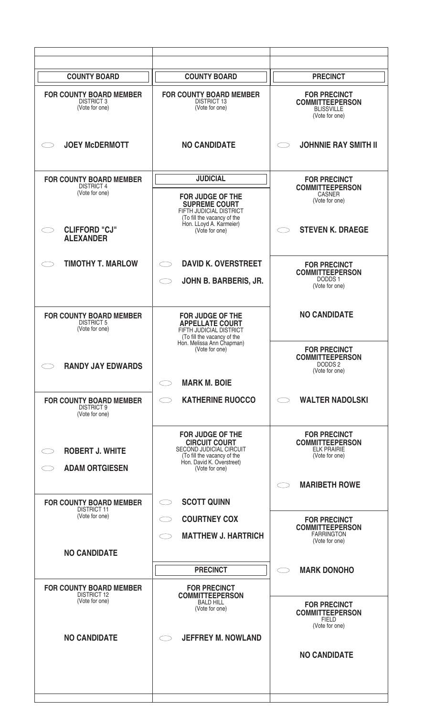| <b>COUNTY BOARD</b>                                                    | <b>COUNTY BOARD</b>                                                                                                                                        | <b>PRECINCT</b>                                                                       |
|------------------------------------------------------------------------|------------------------------------------------------------------------------------------------------------------------------------------------------------|---------------------------------------------------------------------------------------|
| <b>FOR COUNTY BOARD MEMBER</b><br><b>DISTRICT 3</b><br>(Vote for one)  | <b>FOR COUNTY BOARD MEMBER</b><br><b>DISTRICT 13</b><br>(Vote for one)                                                                                     | <b>FOR PRECINCT</b><br><b>COMMITTEEPERSON</b><br><b>BLISSVILLE</b><br>(Vote for one)  |
| <b>JOEY McDERMOTT</b>                                                  | <b>NO CANDIDATE</b>                                                                                                                                        | <b>JOHNNIE RAY SMITH II</b>                                                           |
| <b>FOR COUNTY BOARD MEMBER</b><br><b>DISTRICT 4</b><br>(Vote for one)  | <b>JUDICIAL</b><br><b>FOR JUDGE OF THE</b><br><b>SUPREME COURT</b><br>FIFTH JUDICIAL DISTRICT<br>(To fill the vacancy of the                               | <b>FOR PRECINCT</b><br><b>COMMITTEEPERSON</b><br>CASNER<br>(Vote for one)             |
| <b>CLIFFORD "CJ"</b><br><b>ALEXANDER</b>                               | Hon. LLoyd A. Karmeier)<br>(Vote for one)                                                                                                                  | <b>STEVEN K. DRAEGE</b>                                                               |
| <b>TIMOTHY T. MARLOW</b>                                               | <b>DAVID K. OVERSTREET</b><br>JOHN B. BARBERIS, JR.                                                                                                        | <b>FOR PRECINCT</b><br><b>COMMITTEEPERSON</b><br>DODDS 1<br>(Vote for one)            |
| <b>FOR COUNTY BOARD MEMBER</b><br><b>DISTRICT 5</b><br>(Vote for one)  | <b>FOR JUDGE OF THE</b><br><b>APPELLATE COURT</b><br>FIFTH JUDICIAL DISTRICT<br>(To fill the vacancy of the<br>Hon. Melissa Ann Chapman)<br>(Vote for one) | <b>NO CANDIDATE</b><br><b>FOR PRECINCT</b>                                            |
| <b>RANDY JAY EDWARDS</b>                                               | <b>MARK M. BOIE</b><br>$\bigcirc$                                                                                                                          | <b>COMMITTEEPERSON</b><br>DODDS <sub>2</sub><br>(Vote for one)                        |
| <b>FOR COUNTY BOARD MEMBER</b><br><b>DISTRICT 9</b><br>(Vote for one)  | <b>KATHERINE RUOCCO</b><br>$\bigcirc$                                                                                                                      | <b>WALTER NADOLSKI</b>                                                                |
| <b>ROBERT J. WHITE</b><br><b>ADAM ORTGIESEN</b>                        | <b>FOR JUDGE OF THE</b><br><b>CIRCUIT COURT</b><br>SECOND JUDICIAL CIRCUIT<br>(To fill the vacancy of the<br>Hon. David K. Overstreet)<br>(Vote for one)   | <b>FOR PRECINCT</b><br><b>COMMITTEEPERSON</b><br><b>ELK PRAIRIE</b><br>(Vote for one) |
| <b>FOR COUNTY BOARD MEMBER</b>                                         | <b>SCOTT QUINN</b>                                                                                                                                         | <b>MARIBETH ROWE</b>                                                                  |
| <b>DISTRICT 11</b><br>(Vote for one)                                   | <b>COURTNEY COX</b><br>$\bigcirc$<br><b>MATTHEW J. HARTRICH</b><br>$\subset$                                                                               | <b>FOR PRECINCT</b><br><b>COMMITTEEPERSON</b><br><b>FARRINGTON</b><br>(Vote for one)  |
| <b>NO CANDIDATE</b>                                                    | <b>PRECINCT</b>                                                                                                                                            | <b>MARK DONOHO</b>                                                                    |
| <b>FOR COUNTY BOARD MEMBER</b><br><b>DISTRICT 12</b><br>(Vote for one) | <b>FOR PRECINCT</b><br><b>COMMITTEEPERSON</b><br><b>BALD HILL</b><br>(Vote for one)                                                                        | <b>FOR PRECINCT</b><br><b>COMMITTEEPERSON</b><br><b>FIELD</b><br>(Vote for one)       |
| <b>NO CANDIDATE</b>                                                    | <b>JEFFREY M. NOWLAND</b>                                                                                                                                  | <b>NO CANDIDATE</b>                                                                   |
|                                                                        |                                                                                                                                                            |                                                                                       |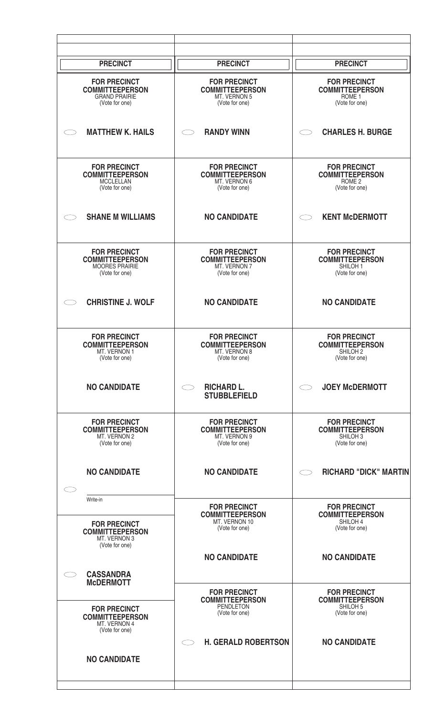| <b>PRECINCT</b>                                                                          | <b>PRECINCT</b>                                                                        | <b>PRECINCT</b>                                                                        |
|------------------------------------------------------------------------------------------|----------------------------------------------------------------------------------------|----------------------------------------------------------------------------------------|
| <b>FOR PRECINCT</b><br><b>COMMITTEEPERSON</b><br><b>GRAND PRAIRIE</b><br>(Vote for one)  | <b>FOR PRECINCT</b><br><b>COMMITTEEPERSON</b><br>MT. VERNON 5<br>(Vote for one)        | <b>FOR PRECINCT</b><br><b>COMMITTEEPERSON</b><br>ROME <sub>1</sub><br>(Vote for one)   |
| <b>MATTHEW K. HAILS</b>                                                                  | <b>RANDY WINN</b>                                                                      | <b>CHARLES H. BURGE</b>                                                                |
| <b>FOR PRECINCT</b><br><b>COMMITTEEPERSON</b><br><b>MCCLELLAN</b><br>(Vote for one)      | <b>FOR PRECINCT</b><br><b>COMMITTEEPERSON</b><br>MT. VERNON 6<br>(Vote for one)        | <b>FOR PRECINCT</b><br><b>COMMITTEEPERSON</b><br>ROME <sub>2</sub><br>(Vote for one)   |
| <b>SHANE M WILLIAMS</b>                                                                  | <b>NO CANDIDATE</b>                                                                    | <b>KENT McDERMOTT</b>                                                                  |
| <b>FOR PRECINCT</b><br><b>COMMITTEEPERSON</b><br><b>MOORES PRAIRIE</b><br>(Vote for one) | <b>FOR PRECINCT</b><br><b>COMMITTEEPERSON</b><br>MT. VERNON 7<br>(Vote for one)        | <b>FOR PRECINCT</b><br><b>COMMITTEEPERSON</b><br>SHILOH <sub>1</sub><br>(Vote for one) |
| <b>CHRISTINE J. WOLF</b>                                                                 | <b>NO CANDIDATE</b>                                                                    | <b>NO CANDIDATE</b>                                                                    |
| <b>FOR PRECINCT</b><br><b>COMMITTEEPERSON</b><br>MI. VEHNUN I<br>(Vote for one)          | <b>FOR PRECINCT</b><br><b>COMMITTEEPERSON</b><br><b>MI. VERNON 8</b><br>(Vote for one) | <b>FOR PRECINCT</b><br><b>COMMITTEEPERSON</b><br>SHILUH 2<br>(Vote for one)            |
| <b>NO CANDIDATE</b>                                                                      | <b>RICHARD L.</b><br><b>STUBBLEFIELD</b>                                               | <b>JOEY McDERMOTT</b>                                                                  |
| <b>FOR PRECINCT</b><br><b>COMMITTEEPERSON</b><br>MT. VERNON 2<br>(Vote for one)          | <b>FOR PRECINCT</b><br><b>COMMITTEEPERSON</b><br>MT. VERNON 9<br>(Vote for one)        | <b>FOR PRECINCT</b><br><b>COMMITTEEPERSON</b><br>SHILOH <sub>3</sub><br>(Vote for one) |
| <b>NO CANDIDATE</b>                                                                      | <b>NO CANDIDATE</b>                                                                    | <b>RICHARD "DICK" MARTIN</b>                                                           |
| Write-in<br><b>FOR PRECINCT</b><br><b>COMMITTEEPERSON</b><br>MT. VERNON 3                | <b>FOR PRECINCT</b><br><b>COMMITTEEPERSON</b><br>MT. VERNON 10<br>(Vote for one)       | <b>FOR PRECINCT</b><br><b>COMMITTEEPERSON</b><br>SHILOH 4<br>(Vote for one)            |
| (Vote for one)                                                                           | <b>NO CANDIDATE</b>                                                                    | <b>NO CANDIDATE</b>                                                                    |
| <b>CASSANDRA</b><br><b>McDERMOTT</b>                                                     | <b>FOR PRECINCT</b>                                                                    | <b>FOR PRECINCT</b>                                                                    |
| <b>FOR PRECINCT</b><br><b>COMMITTEEPERSON</b><br>MT. VERNON 4<br>(Vote for one)          | <b>COMMITTEEPERSON</b><br><b>PENDLETON</b><br>(Vote for one)                           | <b>COMMITTEEPERSON</b><br>SHILOH <sub>5</sub><br>(Vote for one)                        |
| <b>NO CANDIDATE</b>                                                                      | <b>H. GERALD ROBERTSON</b>                                                             | <b>NO CANDIDATE</b>                                                                    |
|                                                                                          |                                                                                        |                                                                                        |